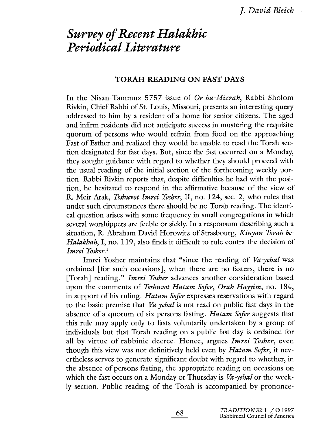# Survey of Recent Halakhic Periodical Literature

# TORAH READING ON FAST DAYS

In the Nisan-Tammuz 5757 issue of Or ha-Mizrah, Rabbi Sholom Rivkin, Chief Rabbi of St. Louis, Missouri, presents an interesting query addressed to him by a resident of a home for senior citizens. The aged and infirm residents did not anticipate success in mustering the requisite quorum of persons who would refrain from food on the approaching Fast of Esther and realized they would be unable to read the Torah section designated for fast days. But, since the fast occurred on a Monday, they sought guidance with regard to whether they should proceed with the usual reading of the initial section of the forthcoming weekly portion. Rabbi Rivkin reports that, despite difficulties he had with the position, he hesitated to respond in the affirmative because of the view of R. Meir Arak, Teshuvot Imrei Yòsher, II, no. 124, sec. 2, who rules that under such circumstances there should be no Torah reading. The identical question arises with some frequency in small congregations in which several worshippers are feeble or sickly. In a responsum describing such a situation, R. Abraham David Horowitz of Strasbourg, Kinyan Torah be-Halakhah, I, no. 119, also finds it difficult to rule contra the decision of Imrei Yosher.<sup>1</sup>

Imrei Yosher maintains that "since the reading of Va-yehal was ordained (for such occasions), when there are no fasters, there is no [Torah] reading." *Imrei Yosher* advances another consideration based upon the comments of Teshuvot Hatam Sofer, Orah Hayyim, no. 184, in support of his ruling. *Hatam Sofer* expresses reservations with regard to the basic premise that Va-yehal is not read on public fast days in the absence of a quorum of six persons fasting. *Hatam Sofer* suggests that this rule may apply only to fasts voluntarily undertaken by a group of individuals but that Torah reading on a public fast day is ordained for all by virtue of rabbinic decree. Hence, argues Imrei Yosher, even though this view was not definitively held even by Hatam Sofer, it nevertheless serves to generate significant doubt with regard to whether, in the absence of persons fasting, the appropriate reading on occasions on which the fast occurs on a Monday or Thursday is *Va-yehal* or the weekly section. Public reading of the Torah is accompanied by prononce-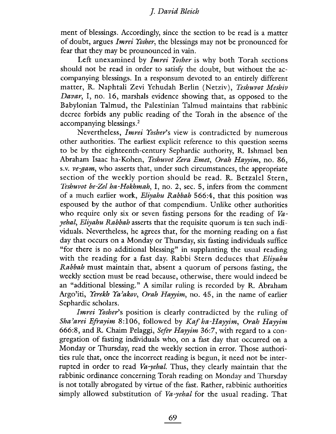ment of blessings. Accordingly, since the section to be read is a matter of doubt, argues Imrei Yòsher, the blessings may not be pronounced for fear that they may be prounounced in vain.

Left unexamined by Imrei Yosher is why both Torah sections should not be read in order to satisfy the doubt, but without the accompanying blessings. In a responsum devoted to an entirely different matter, R. Naphtali Zevi Yehudah Berlin (Netziv), Teshuvot Meshiv Davar, I, no. 16, marshals evidence showing that, as opposed to the Babylonian Talmud, the Palestinian Talmud maintains that rabbinic decree forbids any public reading of the Torah in the absence of the accompanying blessings.2

Nevertheless, lmrei Yosher's view is contradicted by numerous other authorities. The earliest explicit reference to this question seems to be by the eighteenth-century Sephardic authority, R. Ishmael ben Abraham Isaac ha-Kohen, Teshuvot Zera Emet, Orah Hayyim, no. 86, s.v. ve-gam, who asserts that, under such circumstances, the appropriate section of the weekly portion should be read. R. Betzalel Stern, Teshuvot be-Zel ha-Hokhmah, I, no. 2, sec. 5, infers from the comment of a much earlier work, Eliyahu Rabbah 566:4, that this position was espoused by the author of that compendium. Unlike other authorities who require only six or seven fasting persons for the reading of  $Va$ yehal, Eliyahu Rabbah asserts that the requisite quorum is ten such individuals. Nevertheless, he agrees that, for the morning reading on a fast day that occurs on a Monday or Thursday, six fasting individuals suffice "for there is no additional blessing" in supplanting the usual reading with the reading for a fast day. Rabbi Stern deduces that Eliyahu Rabbah must maintain that, absent a quorum of persons fasting, the weekly section must be read because, otherwise, there would indeed be an "additional blessing." A similar ruling is recorded by R. Abraham Argo'iti, *Yerekh Ya'akov*, *Orah Hayyim*, no. 45, in the name of earlier Sephardic scholars.

Imrei Yosher's position is clearly contradicted by the ruling of Sha'arei Efrayim 8:106, followed by Kaf ha-Hayyim, Orah Hayyim 666:8, and R. Chaim Pelaggi, Sefer Hayyim 36:7, with regard to a congregation of fasting individuals who, on a fast day that occurred on a Monday or Thursday, read the weekly section in error. Those authorities rule that, once the incorrect reading is begun, it need not be interrupted in order to read Va-yehal. Thus, they clearly maintain that the rabbinic ordinance concerning Torah reading on Monday and Thursday is not totally abrogated by virtue of the fast. Rather, rabbinic authorities simply allowed substitution of *Va-yehal* for the usual reading. That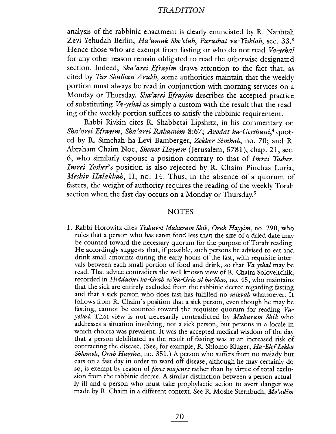analysis of the rabbinic enactment is clearly enunciated by R. Naphtali Zevi Yehudah Berlin, Ha'amak She'elah, Parashat va-Yishlah, sec. 33.<sup>3</sup> Hence those who are exempt from fasting or who do not read Va-yehal for any other reason remain obligated to read the otherwise designated section. Indeed, Sha'arei Efrayim draws attention to the fact that, as cited by Tur Shulhan Arukh, some authorities maintain that the weekly portion must always be read in conjunction with morning services on a Monday or Thursday. Sha'arei Efrayim describes the accepted practice of substituting Va-yehal as simply a custom with the result that the reading of the weekly portion suffices to satisfy the rabbinic requirement.

Rabbi Rivkin cites R. Shabbetai Lipshitz, in his commentary on Sha'arei Efrayim, Sha'arei Rahamim 8:67; Avodat ha-Gershuni,<sup>4</sup> quoted by R. Simchah ha-Levi Bamberger, Zekher Simhah, no. 70; and R. Abraham Chaim Noe, Shenot Hayyim (Jerusalem, 5781), chap. 21, sec. 6, who similarly espouse a position contrary to that of Imrei Yòsher. Imrei Yosher's position is also rejected by R. Chaim Pinchas Luria, Meshiv Halakhah, II, no. 14. Thus, in the absence of a quorum of fasters, the weight of authority requires the reading of the weekly Torah section when the fast day occurs on a Monday or Thursday.<sup>5</sup>

#### **NOTES**

1. Rabbi Horowitz cites Teshuvot Maharam Shik, Drah Hayyim, no. 290, who rules that a person who has eaten food less than the size of a dried date may be counted toward the necessary quorum for the purpose of Torah reading. He accordingly suggests that, if possible, such persons be advised to eat and drink small amounts during the early hours of the fast, with requisite intervals between each small portion of food and drink, so that Va-yehal may be read. That advice contradicts the well known view of R. Chaim Soloveitchik, recorded in Hiddushei ha-Grah ve'ha-Griz al ha-Shas, no. 45, who maintains that the sick are entirely excluded from the rabbinic decree regarding fasting and that a sick person who does fast has fulfilled no *mizvah* whatsoever. It follows from R. Chaim's position that a sick person, even though he may be fasting, cannot be counted toward the requisite quorum for reading  $Va$ yehal. That view is not necesarily contradicted by Maharam Shik who addresses a situation involving, not a sick person, but persons in a locale in which cholera was prevalent. It was the accepted medical wisdom of the day that a person debilitated as the result of fasting was at an increased risk of contracting the disease. (See, for example, R. Shlomo Kluger, Ha-Elef Lekha Shlomoh, Orah Hayyim, no.  $351.$ ) A person who suffers from no malady but eats on a fast day in order to ward off disease, although he may certainly do so, is exempt by reason of force majeure rather than by virtue of total exclusion from the rabbinic decree. A similar distinction between a person actually ill and a person who must take prophylactic action to avert danger was made by R. Chaim in a different context. See R. Moshe Sternbuch, Mo'adim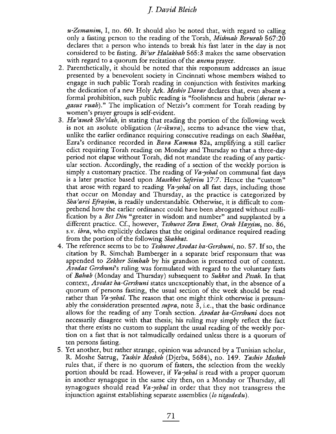$u$ -Zemanim, I, no. 60. It should also be noted that, with regard to calling only a fasting person to the reading of the Torah, *Mishnah Berurah* 567:20 declares that a person who intends to break his fast later in the day is not considered to be fasting. Bi'ur Halakhah 565:3 makes the same observation with regard to a quorum for recitation of the *anenu* prayer.

- 2. Parenthetically, it should be noted that this responsum addresses an issue presented by a benevolent society in Cincinnati whose members wished to engage in such public Torah reading in conjunction with festivites marking the dedication of a new Holy Ark. Meshiv Davar declares that, even absent a formal prohibition, such public reading is "foolishness and hubris (shetut vegasut ruah)." The implication of Netziv's comment for Torah reading by women's prayer groups is self-evident.
- 3. Ha'amek She'elah, in stating that reading the portion of the following week is not an asolute obligation *(le-ikuva)*, seems to advance the view that, unlike the earlier ordinance requiring consecutive readings on each Shabbat, Ezra's ordinance recorded in Bava Kamma 82a, amplifying a stil earlier edict requiring Torah reading on Monday and Thursday so that a three-day period not elapse without Torah, did not mandate the reading of any partcular section. Accordingly, the reading of a section of the weekly portion is simply a customary practice. The reading of  $Va$ -yehal on communal fast days is a later practice based upon Masekhet Soferim 17:7. Hence the "custom" that arose with regard to reading  $Va$ -yehal on all fast days, including those that occur on Monday and Thursday, as the practice is categorized by Sha'arei Efrayim, is readily understandable. Otherwise, it is difficult to comprehend how the earlier ordinance could have been abrogated without nullfication by a Bet Din "greater in wisdom and number" and supplanted by a different practice. Cf., however, Teshuvot Zera Emet, Grah Hayyim, no. 86, s.v. ibra, who explicitly declares that the original ordinance required reading from the portion of the following Shabbat.
- 4. The reference seems to be to Teshuvot Avodat ha-Gershuni, no. 57. If so, the citation by R. Simchah Bamberger in a separate brief responsum that was appended to Zekher Simhah by his grandson is presented out of context. Avodat Gershuni's ruling was formulated with regard to the voluntary fasts of Bahab (Monday and Thursday) subsequent to Sukkot and Pesah. In that context, *Avodat ha-Gershuni* states unexceptionably that, in the absence of a quorum of persons fasting, the usual section of the week should be read rather than *Va-yehal*. The reason that one might think otherwise is presumably the consideration presented *supra*, note 3, i.e., that the basic ordinance allows for the reading of any Torah section. Avodat ha-Gershuni does not necessarily disagree with that thesis; his ruling may simply reflect the fact that there exists no custom to supplant the usual reading of the weekly portion on a fast that is not talmudically ordained unless there is a quorum of ten persons fasting.
- 5. Yet another, but rather strange, opinion was advanced by a Tunisian scholar, R. Moshe Satrug, Yashiv Mosheh (Djerba, 5684), no. 149. Yashiv Mosheh rules that, if there is no quorum of fasters, the selection from the weekly portion should be read. However, if *Va-yehal* is read with a proper quorum in another synagogue in the same city then, on a Monday or Thursday, all synagogues should read *Va-yehal* in order that they not transgress the injunction against establishing separate assemblies (lo titgodedu).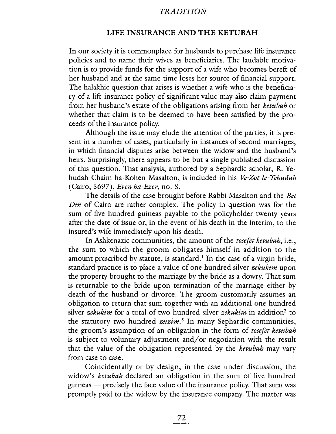#### LIFE INSURANCE AND THE KETUBAH

In our society it is commonplace for husbands to purchase life insurance policies and to name their wives as beneficiaries. The laudable motivation is to provide funds for the support of a wife who becomes bereft of her husband and at the same time loses her source of financial support. The halakhic question that arises is whether a wife who is the beneficiary of a life insurance policy of significant value may also claim payment from her husband's estate of the obligations arising from her ketubah or whether that claim is to be deemed to have been satisfied by the proceeds of the insurance policy.

Although the issue may elude the attention of the parties, it is present in a number of cases, particularly in instances of second marriages, in which financial disputes arise between the widow and the husband's heirs. Surprisingly, there appears to be but a single published discussion of this question. That analysis, authored by a Sephardic scholar, R. Yehudah Chaim ha-Kohen Masalton, is included in his Ve-Zot le-Yehudah (Cairo, 5697), Even ha-Ezer, no. 8.

The details of the case brought before Rabbi Masalton and the Bet Din of Cairo are rather complex. The policy in question was for the sum of five hundred guineas payable to the policyholder twenty years after the date of issue or, in the event of his death in the interim, to the insured's wife immediately upon his death.

In Ashkenazic communities, the amount of the tosefet ketubah, i.e., the sum to which the groom obligates himself in addition to the amount prescribed by statute, is standard.<sup>1</sup> In the case of a virgin bride, standard practice is to place a value of one hundred silver *zekukim* upon the property brought to the marriage by the bride as a dowry. That sum is returnable to the bride upon termination of the marriage either by death of the husband or divorce. The groom customarily assumes an obligation to return that sum together with an additional one hundred silver *zekukim* for a total of two hundred silver *zekukim* in addition<sup>2</sup> to the statutory two hundred  $zuzim$ .<sup>3</sup> In many Sephardic communities, the groom's assumption of an obligation in the form of tosefet ketubah is subject to voluntary adjustment and/or negotiation with the result that the value of the obligation represented by the ketubah may vary from case to case.

Coincidentally or by design, in the case under discussion, the widow's ketubah declared an obligation in the sum of five hundred guineas - precisely the face value of the insurance policy. That sum was promptly paid to the widow by the insurance company. The matter was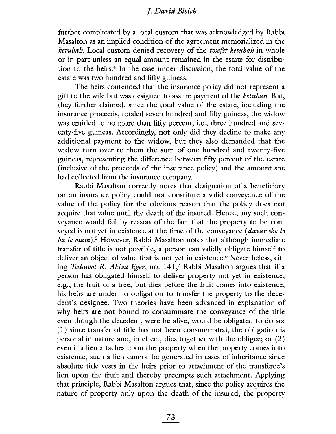further complicated by a local custom that was acknowledged by Rabbi Masalton as an implied condition of the agreement memorialized in the ketubah. Local custom denied recovery of the tosefet ketubah in whole or in part unless an equal amount remained in the estate for distribution to the heirs.<sup>4</sup> In the case under discussion, the total value of the estate was two hundred and fifty guineas.

The heirs contended that the insurance policy did not represent a gift to the wife but was designed to assure payment of the ketubah. But, they further claimed, since the total value of the estate, including the insurance proceeds, totaled seven hundred and fifty guineas, the widow was entitled to no more than fifty percent, i.e., three hundred and seventy-five guineas. Accordingly, not only did they decline to make any additional payment to the widow, but they also demanded that the widow turn over to them the sum of one hundred and twenty-five guineas, representing the difference between fifty percent of the estate (inclusive of the proceeds of the insurance policy) and the amount she had collected from the insurance company.

Rabbi Masalton correctly notes that designation of a beneficiary on an insurance policy could not constitute a valid conveyance of the value of the policy for the obvious reason that the policy does not acquire that value until the death of the insured. Hence, any such conveyance would fail by reason of the fact that the property to be conveyed is not yet in existence at the time of the conveyance (davar she-lo ba le-olam).<sup>5</sup> However, Rabbi Masalton notes that although immediate transfer of title is not possible, a person can validly obligate himself to deliver an object of value that is not yet in existence.<sup>6</sup> Nevertheless, citing Teshuvot R. Akiva Eger, no.  $141<sub>1</sub>$  Rabbi Masalton argues that if a person has obligated himself to deliver property not yet in existence, e.g., the fruit of a tree, but dies before the fruit comes into existence, his heirs are under no obligation to transfer the property to the decedent's designee. Two theories have been advanced in explanation of why heirs are not bound to consummate the conveyance of the title even though the decedent, were he alive, would be obligated to do so: (1) since transfer of title has not been consummated, the obligation is personal in nature and, in effect, dies together with the obligee; or (2) even if a lien attaches upon the property when the property comes into existence, such a lien cannot be generated in cases of inheritance since absolute title vests in the heirs prior to attachment of the transferee's lien upon the fruit and thereby preempts such attachment. Applying that principle, Rabbi Masalton argues that, since the policy acquires the nature of property only upon the death of the insured, the property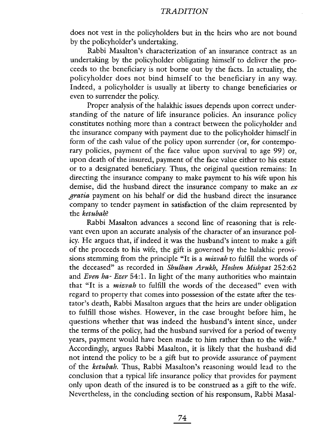does not vest in the policyholders but in the heirs who are not bound by the policyholder's undertaking.

Rabbi Masalton's characterization of an insurance contract as an undertaking by the policyholder obligating himself to deliver the proceeds to the beneficiary is not borne out by the facts. In actuality, the policyholder does not bind himself to the beneficiary in any way. Indeed, a policyholder is usually at liberty to change beneficiaries or even to surrender the policy.

Proper analysis of the halakhic issues depends upon correct understanding of the nature of life insurance policies. An insurance policy constitutes nothing more than a contract between the policyholder and the insurance company with payment due to the policyholder himself in form of the cash value of the policy upon surrender (or, for contemporary policies, payment of the face value upon survival to age 99) or, upon death of the insured, payment of the face value either to his estate or to a designated beneficiary. Thus, the original question remains: In directing the insurance company to make payment to his wife upon his demise, did the husband direct the insurance company to make an  $ex$ gratia payment on his behalf or did the husband direct the insurance company to tender payment in satisfaction of the claim represented by the ketubah?

Rabbi Masalton advances a second line of reasoning that is relevant even upon an accurate analysis of the character of an insurance policy. He argues that, if indeed it was the husband's intent to make a gift of the proceeds to his wife, the gift is governed by the halakhic provisions stemming from the principle "It is a mizvah to fulfill the words of the deceased" as recorded in Shulhan Arukh, Hoshen Mishpat 252:62 and Even ha- Ezer 54:1. In light of the many authorities who maintain that "It is a *mizvah* to fulfill the words of the deceased" even with regard to property that comes into possession of the estate after the testator's death, Rabbi Masalton argues that the heirs are under obligation to fulfill those wishes. However, in the case brought before him, he questions whether that was indeed the husband's intent since, under the terms of the policy, had the husband survived for a period of twenty years, payment would have been made to him rather than to the wife.<sup>8</sup> Accordingly, argues Rabbi Masalton, it is likely that the husband did not intend the policy to be a gift but to provide assurance of payment of the ketubah. Thus, Rabbi Masalton's reasoning would lead to the conclusion that a typical life insurance policy that provides for payment only upon death of the insured is to be construed as a gift to the wife. Nevertheless, in the concluding section of his responsum, Rabbi Masal-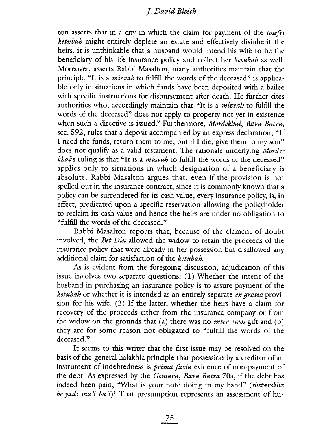ton asserts that in a city in which the claim for payment of the *tosefet* ketubah might entirely deplete an estate and effectively disinherit the heirs, it is unthinkable that a husband would intend his wife to be the beneficiary of his life insurance policy and collect her ketubah as welL. Moreover, asserts Rabbi Masalton, many authorities maintain that the principle "It is a *mizrah* to fulfill the words of the deceased" is applicable only in situations in which funds have been deposited with a bailee with specific instructions for disbursement after death. He further cites authorities who, accordingly maintain that "It is a *mizvah* to fulfill the words of the deceased" does not apply to property not yet in existence when such a directive is issued.<sup>9</sup> Furthermore, Mordekhai, Bava Batra, sec. 592, rules that a deposit accompanied by an express declaration, "If I need the funds, return them to me; but if I die, give them to my son" does not qualify as a valid testament. The rationale underlying Mordekhai's ruling is that "It is a *mizvah* to fulfill the words of the deceased" applies only to situations in which designation of a beneficiary is absolute. Rabbi Masalton argues that, even if the provision is not spelled out in the insurance contract, since it is commonly known that a policy can be surrendered for its cash value, every insurance policy, is, in effect, predicated upon a specific reservation allowing the policyholder to reclaim its cash value and hence the heirs are under no obligation to "fulfill the words of the deceased."

Rabbi Masalton reports that, because of the element of doubt involved, the Bet Din allowed the widow to retain the proceeds of the insurance policy that were already in her possession but disallowed any additional claim for satisfaction of the ketubah.

As is evident from the foregoing discussion, adjudication of this issue involves two separate questions: (1) Whether the intent of the husband in purchasing an insurance policy is to assure payment of the ketubah or whether it is intended as an entirely separate ex gratia provision for his wife. (2) If the latter, whether the heirs have a claim for recovery of the proceeds either from the insurance company or from the widow on the grounds that (a) there was no *inter vivos* gift and (b) they are for some reason not obligated to "fulfill the words of the deceased."

It seems to this writer that the first issue may be resolved on the basis of the general halakhic principle that possession by a creditor of an instrument of indebtedness is *prima facia* evidence of non-payment of the debt. As expressed by the Gemara, Bava Batra 70a, if the debt has indeed been paid, "What is your note doing in my hand" (shetarekha be-yadi ma'i ba'i)? That presumption represents an assessment of hu-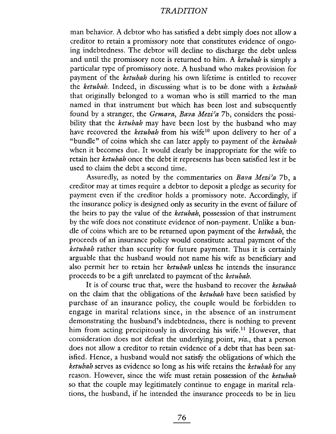man behavior. A debtor who has satisfied a debt simply does not allow a creditor to retain a promissory note that constitutes evidence of ongoing indebtedness. The debtor wil decline to discharge the debt unless and until the promissory note is returned to him. A ketubah is simply a particular type of promissory note. A husband who makes provision for payment of the ketubah during his own lifetime is entitled to recover the ketubah. Indeed, in discussing what is to be done with a ketubah that originally belonged to a woman who is stil married to the man named in that instrument but which has been lost and subsequently found by a stranger, the Gemara, Bava Mezi'a 7b, considers the possibility that the ketubah may have been lost by the husband who may have recovered the ketubah from his wife<sup>10</sup> upon delivery to her of a "bundle" of coins which she can later apply to payment of the ketubah when it becomes due. It would clearly be inappropriate for the wife to retain her ketubah once the debt it represents has been satisfied lest it be used to claim the debt a second time.

Assuredly, as noted by the commentaries on Bava Mezi'a 7b, a creditor may at times require a debtor to deposit a pledge as security for payment even if the creditor holds a promissory note. Accordingly, if the insurance policy is designed only as security in the event of failure of the heirs to pay the value of the ketubah, possession of that instrument by the wife does not constitute evidence of non-payment. Unlike a bundle of coins which are to be returned upon payment of the ketubah, the proceeds of an insurance policy would constitute actual payment of the ketubah rather than security for future payment. Thus it is certainly arguable that the husband would not name his wife as beneficiary and also permit her to retain her ketubah unless he intends the insurance proceeds to be a gift unrelated to payment of the ketubah.

It is of course true that, were the husband to recover the ketubah on the claim that the obligations of the ketubah have been satisfied by purchase of an insurance policy, the couple would be forbidden to engage in marital relations since, in the absence of an instrument demonstrating the husband's indebtedness, there is nothing to prevent him from acting precipitously in divorcing his wife.<sup>11</sup> However, that consideration does not defeat the underlying point, viz., that a person does not allow a creditor to retain evidence of a debt that has been satisfied. Hence, a husband would not satisfy the obligations of which the ketubah serves as evidence so long as his wife retains the ketubah for any reason. However, since the wife must retain possession of the ketubah so that the couple may legitimately continue to engage in marital relations, the husband, if he intended the insurance proceeds to be in lieu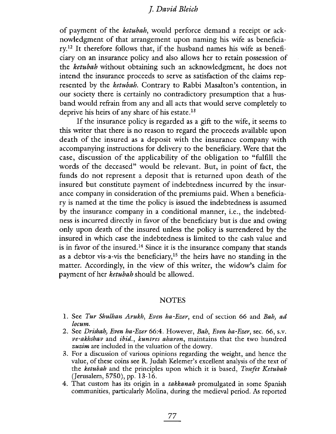of payment of the ketubah, would perforce demand a receipt or acknowledgment of that arrangement upon naming his wife as beneficiary.12 It therefore follows that, if the husband names his wife as beneficiary on an insurance policy and also allows her to retain possession of the ketubah without obtaining such an acknowledgment, he does not intend the insurance proceeds to serve as satisfaction of the claims represented by the ketubah. Contrary to Rabbi Masalton's contention, in our society there is certainly no contradictory presumption that a husband would refrain from any and all acts that would serve completely to deprive his heirs of any share of his estate.<sup>13</sup>

If the insurance policy is regarded as a gift to the wife, it seems to this writer that there is no reason to regard the proceeds available upon death of the insured as a deposit with the insurance company with accompanying instructions for delivery to the beneficiary. Were that the case, discussion of the applicabilty of the obligation to "fulfill the words of the deceased" would be relevant. But, in point of fact, the funds do not represent a deposit that is returned upon death of the insured but constitute payment of indebtedness incurred by the insurance company in consideration of the premiums paid. When a beneficiary is named at the time the policy is issued the indebtedness is assumed by the insurance company in a conditional manner, i.e., the indebtedness is incurred directly in favor of the beneficiary but is due and owing only upon death of the insured unless the policy is surrendered by the insured in which case the indebtedness is limited to the cash value and is in favor of the insured.<sup>14</sup> Since it is the insurance company that stands as a debtor vis-a-vis the beneficiary,<sup>15</sup> the heirs have no standing in the matter. Accordingly, in the view of this writer, the widow's claim for payment of her ketubah should be allowed.

#### NOTES

- 1. See Tur Shulhan Arukh, Even ha-Ezer, end of section 66 and Bah, ad locum.
- 2. See Drishah, Even ha-Ezer 66:4. However, Bah, Even ha-Ezer, sec. 66, s.v. ve-akhshav and ibid., kuntres aharon, maintains that the two hundred zuzim are included in the valuation of the dowry.
- 3. For a discussion of various opinions regarding the weight, and hence the value, of these coins see R. Judah Kelemer's excellent analysis of the text of the ketubah and the principles upon which it is based, Tosefet Ketubah (Jerusalem, 5750), pp. 13-16.
- 4. That custom has its origin in a *takkanah* promulgated in some Spanish communities, particularly Molina, during the medieval period. As reported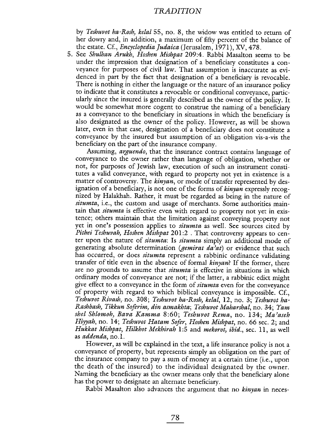by Teshuvot ha-Rosh, kelal 55, no. 8, the widow was entitled to return of her dowry and, in addition, a maximum of fifty percent of the balance of the estate. Cf., Encyclopedia Judaica (Jerusalem, 1971), XV, 478.

5. See Shulhan Arukh, Hoshen Mishpat 209:4. Rabbi Masalton seems to be under the impression that designation of a beneficiary constitutes a conveyance for purposes of civil law. That assumption is inaccurate as evidenced in part by the fact that designation of a beneficiary is revocable. There is nothing in either the language or the nature of an insurance policy to indicate that it constitutes a revocable or conditional conveyance, partcularly since the insured is generally described as the owner of the policy. It would be somewhat more cogent to construe the naming of a beneficiary as a conveyance to the beneficiary in situations in which the beneficiary is also designated as the owner of the policy. However, as wil be shown later, even in that case, designation of a beneficiary does not constitute a conveyance by the insured but assumption of an obligation vis-a-vis the beneficiary on the part of the insurance company.

Assuming, *arguendo*, that the insurance contract contains language of conveyance to the owner rather than language of obligation, whether or not, for purposes of Jewish law, execution of such an instrument constitutes a valid conveyance, with regard to property not yet in existence is a matter of controversy. The kinyan, or mode of transfer represented by designation of a beneficiary, is not one of the forms of kinyan expressly recognized by Halakhah. Rather, it must be regarded as being in the nature of situmta, i.e., the custom and usage of merchants. Some authorities maintain that situmta is effective even with regard to property not yet in existence; others maintain that the limitation against conveying property not yet in one's possession applies to *situmta* as well. See sources cited by Pithei Teshuvah, Hoshen Mishpat 201:2. That controversy appears to center upon the nature of *situmta*: Is *situmta* simply an additional mode of generating absolute determination (*gemirat da'at*) or evidence that such has occurred, or does *situmta* represent a rabbinic ordinance validating transfer of title even in the absence of formal *kinyan*? If the former, there are no grounds to assume that *situmta* is effective in situations in which ordinary modes of conveyance are not; if the latter, a rabbinic edict might give effect to a conveyance in the form of situmta even for the conveyance of property with regard to which biblical conveyance is impossible. Cf., Teshuvot Rivash, no. 308; Teshuvot ha-Rosh, kelal, 12, no. 3; Teshuvot ha-Rashbash) Tikkun Soferim) din asmakhta; Teshuvot Maharshal, no. 34; Yam shel Shlomoh, Bava Kamma 8:60; Teshuvot Rema, no. 134; Ma'aseh Hiyyah, no. 14; Teshuvot Hatam Sofer, Hoshen Mishpat, no. 66 sec. 2; and Hukkat Mishpat, Hilkhot Mekhirah 1:5 and mekorot, ibid., sec. 11, as well as *addenda*, no.1.

However, as will be explained in the text, a life insurance policy is not a conveyance of property, but represents simply an obligation on the part of the insurance company to pay a sum of money at a certain time (i.e., upon the death of the insured) to the individual designated by the owner. Naming the beneficiary as the owner means only that the beneficiary alone has the power to designate an alternate beneficiary.

Rabbi Masalton also advances the argument that no kinyan in neces-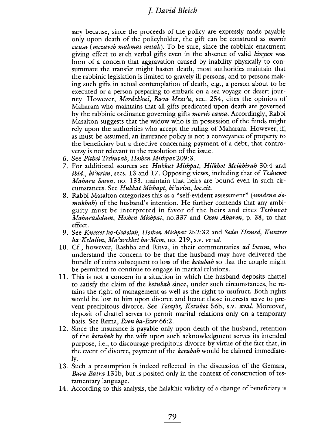sary because, since the proceeds of the policy are expressly made payable only upon death of the policyholder, the gift can be construed as *mortis* causa (mezaveh mahmat mitah). To be sure, since the rabbinic enactment giving effect to such verbal gifts even in the absence of valid kinyan was born of a concern that aggravation caused by inability physically to consummate the transfer might hasten death, most authorities maintain that the rabbinic legislation is limited to gravely il persons, and to persons making such gifts in actual contemplation of death, e.g., a person about to be executed or a person preparing to embark on a sea voyage or desert journey. However, *Mordekhai, Bava Mezi'a*, sec. 254, cites the opinion of Maharam who maintains that all gifts predicated upon death are governed by the rabbinic ordinance governing gifts *mortis causa*. Accordingly, Rabbi Masalton suggests that the widow who is in possession of the funds might rely upon the authorities who accept the ruling of Maharam. However, if, as must be assumed, an insurance policy is not a conveyance of property to the beneficiary but a directive concerning payment of a debt, that controversy is not relevant to the resolution of the issue.

- 6. See Pithei Teshuvah, Hoshen Mishpat 209:3.
- 7. For additional sources see Hukkat Mishpat, Hilkhot Meikhirah 30:4 and  $ibid.$ ,  $bi'urim$ , secs. 13 and 17. Opposing views, including that of Teshuvot Mahara Sason, no. 133, maintain that heirs are bound even in such circumstances. See Hukkat Mishapt, bi'urim, loc.cit.
- 8. Rabbi Masalton categorizes this as a "self-evident assessment" (*umdena de*mukhah) of the husband's intention. He further contends that any ambiguity must be interpreted in favor of the heirs and cites Teshuvot Maharashdam, Hoshen Mishpat, no.337 and Ozen Aharon, p. 38, to that effect.
- 9. See Knesset ha-Gedolah, Hoshen Mishpat 252:32 and Sedei Hemed, Kuntres ha-Kelalim, Ma'arekhet ha-Mem, no. 219, s.v. ve-od.
- 10. Cf., however, Rashba and Ritva, in their commentaries *ad locum*, who understand the concern to be that the husband may have delivered the bundle of coins subsequent to loss of the *ketubah* so that the couple might be permitted to continue to engage in marital relations.
- 11. This is not a concern in a situation in which the husband deposits chattel to satisfy the claim of the ketubah since, under such circumstances, he retains the right of management as well as the right to usufruct. Both rights would be lost to him upon divorce and hence those interests serve to prevent precipitous divorce. See Tosafot, Ketubot 56b, s.v. aval. Moreover, deposit of chattel serves to permit marital relations only on a temporary basis. See Rema, Even ha-Ezer 66:2.
- 12. Since the insurance is payable only upon death of the husband, retention of the ketubah by the wife upon such acknowledgment serves its intended purpose, i.e., to discourage precipitous divorce by virtue of the fact that, in the event of divorce, payment of the *ketubah* would be claimed immediately.
- 13. Such a presumption is indeed reflected in the discussion of the Gemara, Bava Batra 131b, but is posited only in the context of construction of testamentary language.
- 14. According to this analysis, the haIakhic validity of a change of beneficiary is